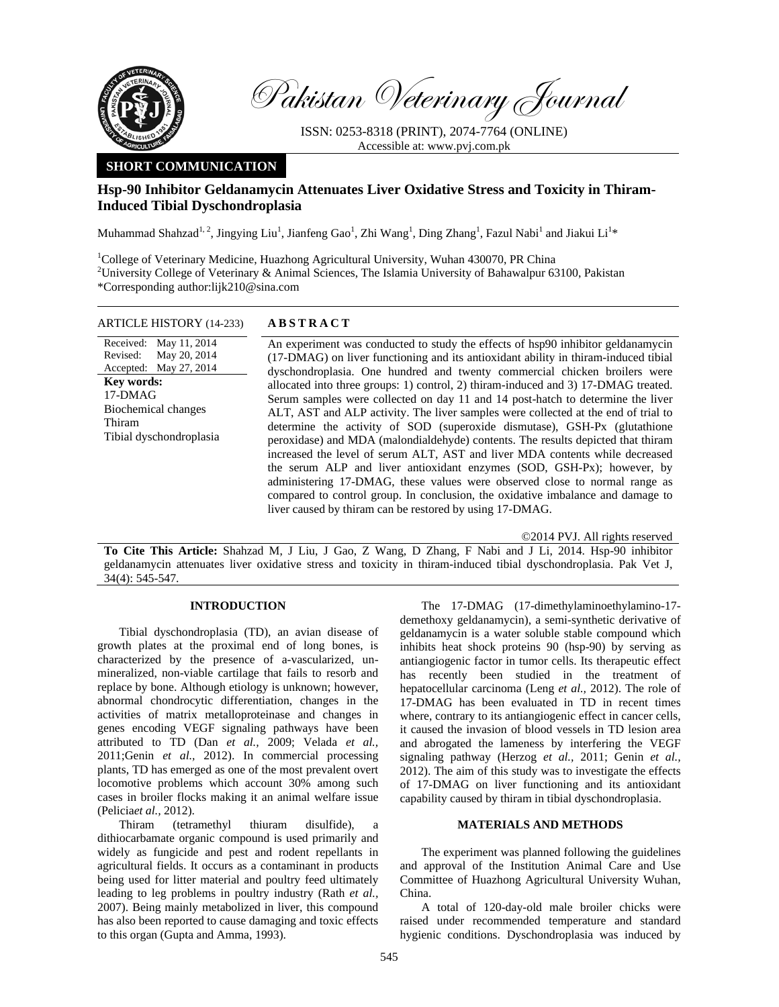

Pakistan Veterinary Journal

ISSN: 0253-8318 (PRINT), 2074-7764 (ONLINE) Accessible at: www.pvj.com.pk

# **SHORT COMMUNICATION**

# **Hsp-90 Inhibitor Geldanamycin Attenuates Liver Oxidative Stress and Toxicity in Thiram-Induced Tibial Dyschondroplasia**

Muhammad Shahzad<sup>1, 2</sup>, Jingying Liu<sup>1</sup>, Jianfeng Gao<sup>1</sup>, Zhi Wang<sup>1</sup>, Ding Zhang<sup>1</sup>, Fazul Nabi<sup>1</sup> and Jiakui Li<sup>1</sup>\*

<sup>1</sup>College of Veterinary Medicine, Huazhong Agricultural University, Wuhan 430070, PR China <sup>2</sup>University College of Veterinary & Animal Sciences, The Islamia University of Bahawalpur 63100, Pakistan \*Corresponding author:lijk210@sina.com

### ARTICLE HISTORY (14-233) **ABSTRACT**

Received: Revised: Accepted: May 27, 2014 May 11, 2014 May 20, 2014 **Key words:**  17-DMAG Biochemical changes Thiram Tibial dyschondroplasia  An experiment was conducted to study the effects of hsp90 inhibitor geldanamycin (17-DMAG) on liver functioning and its antioxidant ability in thiram-induced tibial dyschondroplasia. One hundred and twenty commercial chicken broilers were allocated into three groups: 1) control, 2) thiram-induced and 3) 17-DMAG treated. Serum samples were collected on day 11 and 14 post-hatch to determine the liver ALT, AST and ALP activity. The liver samples were collected at the end of trial to determine the activity of SOD (superoxide dismutase), GSH-Px (glutathione peroxidase) and MDA (malondialdehyde) contents. The results depicted that thiram increased the level of serum ALT, AST and liver MDA contents while decreased the serum ALP and liver antioxidant enzymes (SOD, GSH-Px); however, by administering 17-DMAG, these values were observed close to normal range as compared to control group. In conclusion, the oxidative imbalance and damage to liver caused by thiram can be restored by using 17-DMAG.

©2014 PVJ. All rights reserved

**To Cite This Article:** Shahzad M, J Liu, J Gao, Z Wang, D Zhang, F Nabi and J Li, 2014. Hsp-90 inhibitor geldanamycin attenuates liver oxidative stress and toxicity in thiram-induced tibial dyschondroplasia. Pak Vet J, 34(4): 545-547.

## **INTRODUCTION**

Tibial dyschondroplasia (TD), an avian disease of growth plates at the proximal end of long bones, is characterized by the presence of a-vascularized, unmineralized, non-viable cartilage that fails to resorb and replace by bone. Although etiology is unknown; however, abnormal chondrocytic differentiation, changes in the activities of matrix metalloproteinase and changes in genes encoding VEGF signaling pathways have been attributed to TD (Dan *et al.,* 2009; Velada *et al.,*  2011;Genin *et al.,* 2012). In commercial processing plants, TD has emerged as one of the most prevalent overt locomotive problems which account 30% among such cases in broiler flocks making it an animal welfare issue (Pelicia*et al.,* 2012).

Thiram (tetramethyl thiuram disulfide), dithiocarbamate organic compound is used primarily and widely as fungicide and pest and rodent repellants in agricultural fields. It occurs as a contaminant in products being used for litter material and poultry feed ultimately leading to leg problems in poultry industry (Rath *et al.,*  2007). Being mainly metabolized in liver, this compound has also been reported to cause damaging and toxic effects to this organ (Gupta and Amma, 1993).

The 17-DMAG (17-dimethylaminoethylamino-17 demethoxy geldanamycin), a semi-synthetic derivative of geldanamycin is a water soluble stable compound which inhibits heat shock proteins 90 (hsp-90) by serving as antiangiogenic factor in tumor cells. Its therapeutic effect has recently been studied in the treatment of hepatocellular carcinoma (Leng *et al.,* 2012). The role of 17-DMAG has been evaluated in TD in recent times where, contrary to its antiangiogenic effect in cancer cells, it caused the invasion of blood vessels in TD lesion area and abrogated the lameness by interfering the VEGF signaling pathway (Herzog *et al.,* 2011; Genin *et al.,*  2012). The aim of this study was to investigate the effects of 17-DMAG on liver functioning and its antioxidant capability caused by thiram in tibial dyschondroplasia.

### **MATERIALS AND METHODS**

The experiment was planned following the guidelines and approval of the Institution Animal Care and Use Committee of Huazhong Agricultural University Wuhan, China.

A total of 120-day-old male broiler chicks were raised under recommended temperature and standard hygienic conditions. Dyschondroplasia was induced by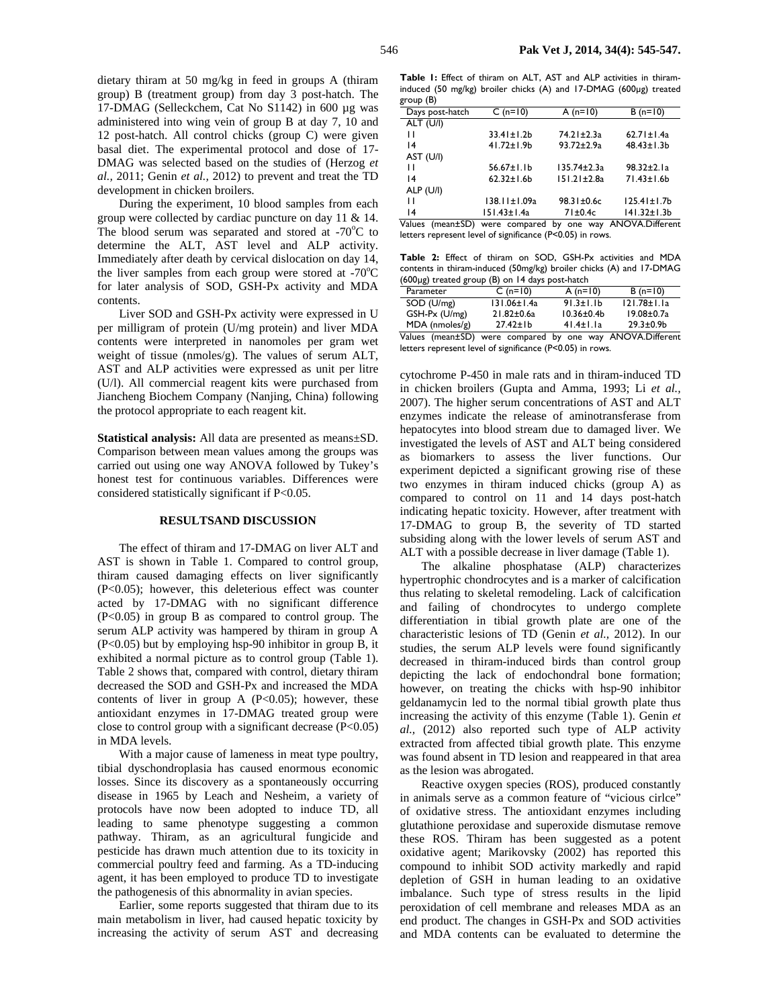dietary thiram at 50 mg/kg in feed in groups A (thiram group) B (treatment group) from day 3 post-hatch. The 17-DMAG (Selleckchem, Cat No S1142) in 600 µg was administered into wing vein of group B at day 7, 10 and 12 post-hatch. All control chicks (group C) were given basal diet. The experimental protocol and dose of 17- DMAG was selected based on the studies of (Herzog *et al.,* 2011; Genin *et al.,* 2012) to prevent and treat the TD development in chicken broilers.

During the experiment, 10 blood samples from each group were collected by cardiac puncture on day 11 & 14. The blood serum was separated and stored at  $-70^{\circ}$ C to determine the ALT, AST level and ALP activity. Immediately after death by cervical dislocation on day 14, the liver samples from each group were stored at  $-70^{\circ}$ C for later analysis of SOD, GSH-Px activity and MDA contents.

Liver SOD and GSH-Px activity were expressed in U per milligram of protein (U/mg protein) and liver MDA contents were interpreted in nanomoles per gram wet weight of tissue (nmoles/g). The values of serum ALT, AST and ALP activities were expressed as unit per litre (U/l). All commercial reagent kits were purchased from Jiancheng Biochem Company (Nanjing, China) following the protocol appropriate to each reagent kit.

**Statistical analysis:** All data are presented as means±SD. Comparison between mean values among the groups was carried out using one way ANOVA followed by Tukey's honest test for continuous variables. Differences were considered statistically significant if P<0.05.

#### **RESULTSAND DISCUSSION**

The effect of thiram and 17-DMAG on liver ALT and AST is shown in Table 1. Compared to control group, thiram caused damaging effects on liver significantly (P<0.05); however, this deleterious effect was counter acted by 17-DMAG with no significant difference (P<0.05) in group B as compared to control group. The serum ALP activity was hampered by thiram in group A (P<0.05) but by employing hsp-90 inhibitor in group B, it exhibited a normal picture as to control group (Table 1). Table 2 shows that, compared with control, dietary thiram decreased the SOD and GSH-Px and increased the MDA contents of liver in group A  $(P<0.05)$ ; however, these antioxidant enzymes in 17-DMAG treated group were close to control group with a significant decrease  $(P<0.05)$ in MDA levels.

With a major cause of lameness in meat type poultry, tibial dyschondroplasia has caused enormous economic losses. Since its discovery as a spontaneously occurring disease in 1965 by Leach and Nesheim, a variety of protocols have now been adopted to induce TD, all leading to same phenotype suggesting a common pathway. Thiram, as an agricultural fungicide and pesticide has drawn much attention due to its toxicity in commercial poultry feed and farming. As a TD-inducing agent, it has been employed to produce TD to investigate the pathogenesis of this abnormality in avian species.

Earlier, some reports suggested that thiram due to its main metabolism in liver, had caused hepatic toxicity by increasing the activity of serum AST and decreasing

**Table 1:** Effect of thiram on ALT, AST and ALP activities in thiraminduced (50 mg/kg) broiler chicks (A) and 17-DMAG (600µg) treated group (B)

| Days post-hatch        | $C(n=10)$         | A $(n=10)$        | $B(n=10)$          |
|------------------------|-------------------|-------------------|--------------------|
| $\overline{ALT}$ (U/I) |                   |                   |                    |
| Ħ                      | $33.41 \pm 1.2b$  | 74.21±2.3a        | $62.71 \pm 1.4a$   |
| $\overline{14}$        | $41.72 \pm 1.9$ b | $93.72 \pm 2.9a$  | $48.43 \pm 1.3b$   |
| AST (U/I)              |                   |                   |                    |
| п                      | $56.67 \pm 1.1 b$ | $135.74 \pm 2.3a$ | $98.32 \pm 2.1a$   |
| 4                      | $62.32 \pm 1.6$ b | $151.21 \pm 2.8a$ | 71.43±1.6b         |
| ALP $(U/I)$            |                   |                   |                    |
| н                      | 138.11±1.09a      | $98.31 \pm 0.6c$  | $125.41 \pm 1.7$ b |
| 4                      | $151.43 \pm 1.4a$ | $71\pm0.4c$       | $141.32 \pm 1.3b$  |

Values (mean±SD) were compared by one way ANOVA.Different letters represent level of significance (P<0.05) in rows.

**Table 2:** Effect of thiram on SOD, GSH-Px activities and MDA contents in thiram-induced (50mg/kg) broiler chicks (A) and 17-DMAG (600µg) treated group (B) on 14 days post-hatch

| $\frac{1}{2}$ , $\frac{1}{2}$ , $\frac{1}{2}$ , $\frac{1}{2}$ , $\frac{1}{2}$ , $\frac{1}{2}$ , $\frac{1}{2}$ , $\frac{1}{2}$ , $\frac{1}{2}$ , $\frac{1}{2}$ , $\frac{1}{2}$ , $\frac{1}{2}$ , $\frac{1}{2}$ , $\frac{1}{2}$ , $\frac{1}{2}$ , $\frac{1}{2}$ , $\frac{1}{2}$ , $\frac{1}{2}$ , $\frac{1$ |                   |                 |                   |  |
|-----------------------------------------------------------------------------------------------------------------------------------------------------------------------------------------------------------------------------------------------------------------------------------------------------------|-------------------|-----------------|-------------------|--|
| Parameter                                                                                                                                                                                                                                                                                                 | $C(n=10)$         | A $(n=10)$      | $B(n=10)$         |  |
| SOD (U/mg)                                                                                                                                                                                                                                                                                                | $131.06 \pm 1.4a$ | $91.3 \pm 1.1$  | $121.78 \pm 1.1a$ |  |
| GSH-Px (U/mg)                                                                                                                                                                                                                                                                                             | $21.82 \pm 0.6a$  | $10.36 \pm 0.4$ | $19.08 \pm 0.7a$  |  |
| $MDA$ (nmoles/g)                                                                                                                                                                                                                                                                                          | $27.42 \pm 1b$    | $41.4 \pm 1.1a$ | $29.3 \pm 0.9 b$  |  |
| Values (mean±SD) were compared by one way ANOVA.Different                                                                                                                                                                                                                                                 |                   |                 |                   |  |

letters represent level of significance (P<0.05) in rows.

cytochrome P-450 in male rats and in thiram-induced TD in chicken broilers (Gupta and Amma, 1993; Li *et al.,* 2007). The higher serum concentrations of AST and ALT enzymes indicate the release of aminotransferase from hepatocytes into blood stream due to damaged liver. We investigated the levels of AST and ALT being considered as biomarkers to assess the liver functions. Our experiment depicted a significant growing rise of these two enzymes in thiram induced chicks (group A) as compared to control on 11 and 14 days post-hatch indicating hepatic toxicity. However, after treatment with 17-DMAG to group B, the severity of TD started subsiding along with the lower levels of serum AST and ALT with a possible decrease in liver damage (Table 1).

The alkaline phosphatase (ALP) characterizes hypertrophic chondrocytes and is a marker of calcification thus relating to skeletal remodeling. Lack of calcification and failing of chondrocytes to undergo complete differentiation in tibial growth plate are one of the characteristic lesions of TD (Genin *et al.,* 2012). In our studies, the serum ALP levels were found significantly decreased in thiram-induced birds than control group depicting the lack of endochondral bone formation; however, on treating the chicks with hsp-90 inhibitor geldanamycin led to the normal tibial growth plate thus increasing the activity of this enzyme (Table 1). Genin *et al.,* (2012) also reported such type of ALP activity extracted from affected tibial growth plate. This enzyme was found absent in TD lesion and reappeared in that area as the lesion was abrogated.

Reactive oxygen species (ROS), produced constantly in animals serve as a common feature of "vicious cirlce" of oxidative stress. The antioxidant enzymes including glutathione peroxidase and superoxide dismutase remove these ROS. Thiram has been suggested as a potent oxidative agent; Marikovsky (2002) has reported this compound to inhibit SOD activity markedly and rapid depletion of GSH in human leading to an oxidative imbalance. Such type of stress results in the lipid peroxidation of cell membrane and releases MDA as an end product. The changes in GSH-Px and SOD activities and MDA contents can be evaluated to determine the